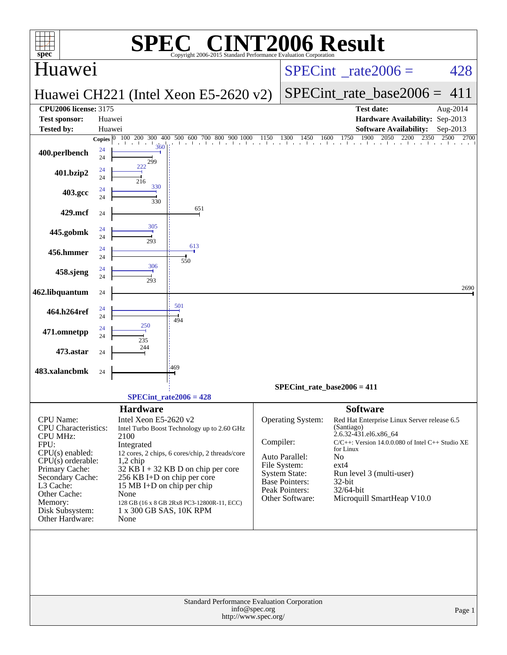|                                                                                                                                                                                                                                     |                  | SPE                                                                                          | $\mathbb{C}^{\circledast}$ CINT2006 Result                                                                                                                                                                                                                                           |               |                                                                                                                                           |                                                                                                                                                                                                                                                                                   |              |
|-------------------------------------------------------------------------------------------------------------------------------------------------------------------------------------------------------------------------------------|------------------|----------------------------------------------------------------------------------------------|--------------------------------------------------------------------------------------------------------------------------------------------------------------------------------------------------------------------------------------------------------------------------------------|---------------|-------------------------------------------------------------------------------------------------------------------------------------------|-----------------------------------------------------------------------------------------------------------------------------------------------------------------------------------------------------------------------------------------------------------------------------------|--------------|
| $spec^*$<br>Huawei                                                                                                                                                                                                                  |                  |                                                                                              | Copyright 2006-2015 Standard Performance Evaluation Corporation                                                                                                                                                                                                                      |               |                                                                                                                                           | $SPECint^{\circ}$ <sub>_rate2006</sub> =                                                                                                                                                                                                                                          | 428          |
|                                                                                                                                                                                                                                     |                  |                                                                                              | Huawei CH221 (Intel Xeon E5-2620 v2)                                                                                                                                                                                                                                                 |               |                                                                                                                                           | $SPECint_rate\_base2006 =$                                                                                                                                                                                                                                                        | 411          |
| <b>CPU2006 license: 3175</b>                                                                                                                                                                                                        |                  |                                                                                              |                                                                                                                                                                                                                                                                                      |               |                                                                                                                                           | <b>Test date:</b>                                                                                                                                                                                                                                                                 | Aug-2014     |
| <b>Test sponsor:</b><br><b>Tested by:</b>                                                                                                                                                                                           | Huawei<br>Huawei |                                                                                              |                                                                                                                                                                                                                                                                                      |               |                                                                                                                                           | Hardware Availability: Sep-2013<br><b>Software Availability:</b>                                                                                                                                                                                                                  | Sep-2013     |
|                                                                                                                                                                                                                                     | Copies $ 0 $     | 100 200 300                                                                                  | 500 600 700 800 900 1000<br>400                                                                                                                                                                                                                                                      | 1150          | 1600<br>1300<br>1450                                                                                                                      | 1900<br>1750<br>2050<br>2200<br>2350                                                                                                                                                                                                                                              | 2500<br>2700 |
| 400.perlbench                                                                                                                                                                                                                       | 24<br>24         | 360<br>299                                                                                   | the theory of the top                                                                                                                                                                                                                                                                |               |                                                                                                                                           | and a search and a search and the control                                                                                                                                                                                                                                         |              |
| 401.bzip2                                                                                                                                                                                                                           | 24<br>24         | 222<br>216                                                                                   |                                                                                                                                                                                                                                                                                      |               |                                                                                                                                           |                                                                                                                                                                                                                                                                                   |              |
| 403.gcc                                                                                                                                                                                                                             | 24<br>24         | 330<br>330                                                                                   |                                                                                                                                                                                                                                                                                      |               |                                                                                                                                           |                                                                                                                                                                                                                                                                                   |              |
| 429.mcf                                                                                                                                                                                                                             | 24               |                                                                                              | 651                                                                                                                                                                                                                                                                                  |               |                                                                                                                                           |                                                                                                                                                                                                                                                                                   |              |
| 445.gobmk                                                                                                                                                                                                                           | 24<br>24         | 305<br>293                                                                                   |                                                                                                                                                                                                                                                                                      |               |                                                                                                                                           |                                                                                                                                                                                                                                                                                   |              |
| 456.hmmer                                                                                                                                                                                                                           | 24<br>24         |                                                                                              | 613                                                                                                                                                                                                                                                                                  |               |                                                                                                                                           |                                                                                                                                                                                                                                                                                   |              |
| 458.sjeng                                                                                                                                                                                                                           | 24<br>24         | 306<br>293                                                                                   | 550                                                                                                                                                                                                                                                                                  |               |                                                                                                                                           |                                                                                                                                                                                                                                                                                   |              |
| 462.libquantum                                                                                                                                                                                                                      | 24               |                                                                                              |                                                                                                                                                                                                                                                                                      |               |                                                                                                                                           |                                                                                                                                                                                                                                                                                   | 2690         |
| 464.h264ref                                                                                                                                                                                                                         | 24<br>24         |                                                                                              | 501<br>494                                                                                                                                                                                                                                                                           |               |                                                                                                                                           |                                                                                                                                                                                                                                                                                   |              |
| 471.omnetpp                                                                                                                                                                                                                         | 24<br>24         | 250<br>235                                                                                   |                                                                                                                                                                                                                                                                                      |               |                                                                                                                                           |                                                                                                                                                                                                                                                                                   |              |
| 473.astar                                                                                                                                                                                                                           | 24               | 244                                                                                          |                                                                                                                                                                                                                                                                                      |               |                                                                                                                                           |                                                                                                                                                                                                                                                                                   |              |
| 483.xalancbmk                                                                                                                                                                                                                       | 24               |                                                                                              | 469                                                                                                                                                                                                                                                                                  |               |                                                                                                                                           |                                                                                                                                                                                                                                                                                   |              |
|                                                                                                                                                                                                                                     |                  |                                                                                              | $SPECint_rate2006 = 428$                                                                                                                                                                                                                                                             |               |                                                                                                                                           | $SPECint_rate_base2006 = 411$                                                                                                                                                                                                                                                     |              |
| CPU Name:<br><b>CPU</b> Characteristics:<br><b>CPU MHz:</b><br>FPU:<br>$CPU(s)$ enabled:<br>$CPU(s)$ orderable:<br>Primary Cache:<br>Secondary Cache:<br>L3 Cache:<br>Other Cache:<br>Memory:<br>Disk Subsystem:<br>Other Hardware: |                  | <b>Hardware</b><br>Intel Xeon E5-2620 v2<br>2100<br>Integrated<br>$1,2$ chip<br>None<br>None | Intel Turbo Boost Technology up to 2.60 GHz<br>12 cores, 2 chips, 6 cores/chip, 2 threads/core<br>$32$ KB $\bar{1}$ + 32 KB D on chip per core<br>256 KB I+D on chip per core<br>15 MB I+D on chip per chip<br>128 GB (16 x 8 GB 2Rx8 PC3-12800R-11, ECC)<br>1 x 300 GB SAS, 10K RPM | Compiler:     | Operating System:<br>Auto Parallel:<br>File System:<br><b>System State:</b><br><b>Base Pointers:</b><br>Peak Pointers:<br>Other Software: | <b>Software</b><br>Red Hat Enterprise Linux Server release 6.5<br>(Santiago)<br>2.6.32-431.el6.x86_64<br>$C/C++$ : Version 14.0.0.080 of Intel $C++$ Studio XE<br>for Linux<br>No<br>$ext{4}$<br>Run level 3 (multi-user)<br>$32$ -bit<br>32/64-bit<br>Microquill SmartHeap V10.0 |              |
|                                                                                                                                                                                                                                     |                  |                                                                                              | Standard Performance Evaluation Corporation<br>http://www.spec.org/                                                                                                                                                                                                                  | info@spec.org |                                                                                                                                           |                                                                                                                                                                                                                                                                                   | Page 1       |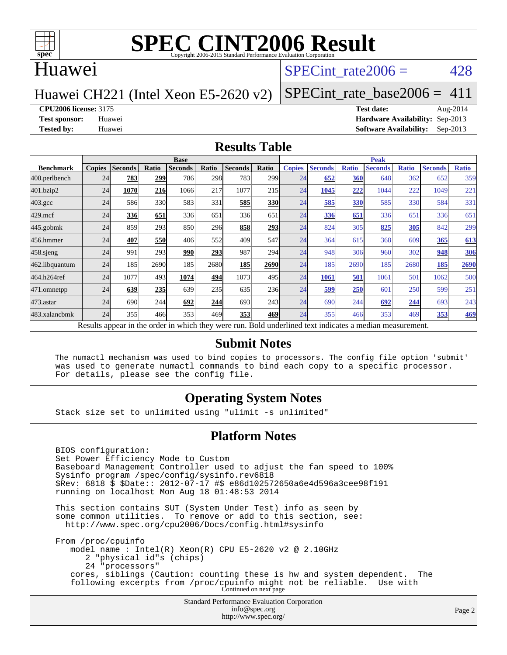

#### Huawei

#### SPECint rate $2006 = 428$

#### Huawei CH221 (Intel Xeon E5-2620 v2)

[SPECint\\_rate\\_base2006 =](http://www.spec.org/auto/cpu2006/Docs/result-fields.html#SPECintratebase2006)  $411$ 

#### **[CPU2006 license:](http://www.spec.org/auto/cpu2006/Docs/result-fields.html#CPU2006license)** 3175 **[Test date:](http://www.spec.org/auto/cpu2006/Docs/result-fields.html#Testdate)** Aug-2014

**[Test sponsor:](http://www.spec.org/auto/cpu2006/Docs/result-fields.html#Testsponsor)** Huawei **[Hardware Availability:](http://www.spec.org/auto/cpu2006/Docs/result-fields.html#HardwareAvailability)** Sep-2013 **[Tested by:](http://www.spec.org/auto/cpu2006/Docs/result-fields.html#Testedby)** Huawei **[Software Availability:](http://www.spec.org/auto/cpu2006/Docs/result-fields.html#SoftwareAvailability)** Sep-2013

#### **[Results Table](http://www.spec.org/auto/cpu2006/Docs/result-fields.html#ResultsTable)**

|                                                                                                          | <b>Base</b>   |                |       |                |       |                |                  | <b>Peak</b>   |                |              |                |              |                |              |
|----------------------------------------------------------------------------------------------------------|---------------|----------------|-------|----------------|-------|----------------|------------------|---------------|----------------|--------------|----------------|--------------|----------------|--------------|
| <b>Benchmark</b>                                                                                         | <b>Copies</b> | <b>Seconds</b> | Ratio | <b>Seconds</b> | Ratio | <b>Seconds</b> | Ratio            | <b>Copies</b> | <b>Seconds</b> | <b>Ratio</b> | <b>Seconds</b> | <b>Ratio</b> | <b>Seconds</b> | <b>Ratio</b> |
| 400.perlbench                                                                                            | 24            | 783            | 299   | 786            | 298   | 783            | 299 <sub>1</sub> | 24            | 652            | 360          | 648            | 362          | 652            | 359          |
| 401.bzip2                                                                                                | 24            | 1070           | 216   | 1066           | 217   | 1077           | 215              | 24            | 1045           | 222          | 1044           | 222          | 1049           | 221          |
| $403.\mathrm{gcc}$                                                                                       | 24            | 586            | 330   | 583            | 331   | 585            | <b>330</b>       | 24            | 585            | 330          | 585            | 330          | 584            | 331          |
| $429$ .mcf                                                                                               | 24            | 336            | 651   | 336            | 651   | 336            | 651              | 24            | 336            | 651          | 336            | 651          | 336            | 651          |
| $445$ .gobm $k$                                                                                          | 24            | 859            | 293   | 850            | 296   | 858            | 293              | 24            | 824            | 305          | 825            | 305          | 842            | 299          |
| 456.hmmer                                                                                                | 24            | 407            | 550   | 406            | 552   | 409            | 547              | 24            | 364            | 615          | 368            | 609          | 365            | 613          |
| $458$ .sjeng                                                                                             | 24            | 991            | 293   | 990            | 293   | 987            | 294l             | 24            | 948            | 306          | 960            | 302          | 948            | 306          |
| 462.libquantum                                                                                           | 24            | 185            | 2690  | 185            | 2680  | 185            | 2690             | 24            | 185            | 2690         | 185            | 2680         | 185            | 2690         |
| 464.h264ref                                                                                              | 24            | 1077           | 493   | 1074           | 494   | 1073           | 495I             | 24            | 1061           | 501          | 1061           | 501          | 1062           | 500          |
| 471.omnetpp                                                                                              | 24            | 639            | 235   | 639            | 235   | 635            | 236              | 24            | 599            | 250          | 601            | 250          | 599            | 251          |
| $473.$ astar                                                                                             | 24            | 690            | 244   | 692            | 244   | 693            | 243 <sup>I</sup> | 24            | 690            | 244          | 692            | 244          | 693            | 243          |
| 483.xalancbmk                                                                                            | 24            | 355            | 466   | 353            | 469   | 353            | 469              | 24            | 355            | 466          | 353            | 469          | 353            | <u>469</u>   |
| Results appear in the order in which they were run. Bold underlined text indicates a median measurement. |               |                |       |                |       |                |                  |               |                |              |                |              |                |              |

#### **[Submit Notes](http://www.spec.org/auto/cpu2006/Docs/result-fields.html#SubmitNotes)**

 The numactl mechanism was used to bind copies to processors. The config file option 'submit' was used to generate numactl commands to bind each copy to a specific processor. For details, please see the config file.

#### **[Operating System Notes](http://www.spec.org/auto/cpu2006/Docs/result-fields.html#OperatingSystemNotes)**

Stack size set to unlimited using "ulimit -s unlimited"

#### **[Platform Notes](http://www.spec.org/auto/cpu2006/Docs/result-fields.html#PlatformNotes)**

 BIOS configuration: Set Power Efficiency Mode to Custom Baseboard Management Controller used to adjust the fan speed to 100% Sysinfo program /spec/config/sysinfo.rev6818 \$Rev: 6818 \$ \$Date:: 2012-07-17 #\$ e86d102572650a6e4d596a3cee98f191 running on localhost Mon Aug 18 01:48:53 2014 This section contains SUT (System Under Test) info as seen by some common utilities. To remove or add to this section, see: <http://www.spec.org/cpu2006/Docs/config.html#sysinfo>

 From /proc/cpuinfo model name : Intel(R) Xeon(R) CPU E5-2620 v2 @ 2.10GHz 2 "physical id"s (chips) 24 "processors" cores, siblings (Caution: counting these is hw and system dependent. The following excerpts from /proc/cpuinfo might not be reliable. Use with Continued on next page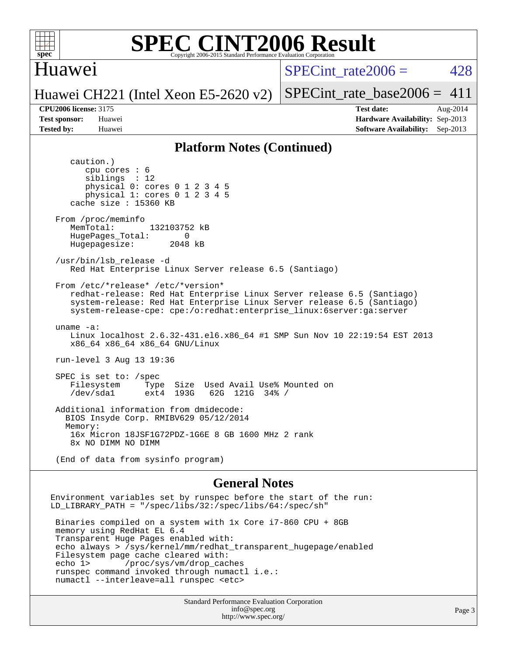

#### Huawei

SPECint rate $2006 = 428$ 

Huawei CH221 (Intel Xeon E5-2620 v2)

[SPECint\\_rate\\_base2006 =](http://www.spec.org/auto/cpu2006/Docs/result-fields.html#SPECintratebase2006)  $411$ 

**[CPU2006 license:](http://www.spec.org/auto/cpu2006/Docs/result-fields.html#CPU2006license)** 3175 **[Test date:](http://www.spec.org/auto/cpu2006/Docs/result-fields.html#Testdate)** Aug-2014 **[Test sponsor:](http://www.spec.org/auto/cpu2006/Docs/result-fields.html#Testsponsor)** Huawei **[Hardware Availability:](http://www.spec.org/auto/cpu2006/Docs/result-fields.html#HardwareAvailability)** Sep-2013 **[Tested by:](http://www.spec.org/auto/cpu2006/Docs/result-fields.html#Testedby)** Huawei **[Software Availability:](http://www.spec.org/auto/cpu2006/Docs/result-fields.html#SoftwareAvailability)** Sep-2013

#### **[Platform Notes \(Continued\)](http://www.spec.org/auto/cpu2006/Docs/result-fields.html#PlatformNotes)**

 caution.) cpu cores : 6 siblings : 12 physical 0: cores 0 1 2 3 4 5 physical 1: cores 0 1 2 3 4 5 cache size : 15360 KB From /proc/meminfo MemTotal: 132103752 kB HugePages\_Total: 0<br>Hugepagesize: 2048 kB Hugepagesize: /usr/bin/lsb\_release -d Red Hat Enterprise Linux Server release 6.5 (Santiago) From /etc/\*release\* /etc/\*version\* redhat-release: Red Hat Enterprise Linux Server release 6.5 (Santiago) system-release: Red Hat Enterprise Linux Server release 6.5 (Santiago) system-release-cpe: cpe:/o:redhat:enterprise\_linux:6server:ga:server uname -a: Linux localhost 2.6.32-431.el6.x86\_64 #1 SMP Sun Nov 10 22:19:54 EST 2013 x86\_64 x86\_64 x86\_64 GNU/Linux run-level 3 Aug 13 19:36 SPEC is set to: /spec Filesystem Type Size Used Avail Use% Mounted on<br>
/dev/sda1 ext4 193G 62G 121G 34% / 62G 121G 34% / Additional information from dmidecode: BIOS Insyde Corp. RMIBV629 05/12/2014 Memory: 16x Micron 18JSF1G72PDZ-1G6E 8 GB 1600 MHz 2 rank 8x NO DIMM NO DIMM (End of data from sysinfo program) **[General Notes](http://www.spec.org/auto/cpu2006/Docs/result-fields.html#GeneralNotes)**

Environment variables set by runspec before the start of the run: LD\_LIBRARY\_PATH = "/spec/libs/32:/spec/libs/64:/spec/sh"

 Binaries compiled on a system with 1x Core i7-860 CPU + 8GB memory using RedHat EL 6.4 Transparent Huge Pages enabled with: echo always > /sys/kernel/mm/redhat\_transparent\_hugepage/enabled Filesystem page cache cleared with: echo 1> /proc/sys/vm/drop\_caches runspec command invoked through numactl i.e.: numactl --interleave=all runspec <etc>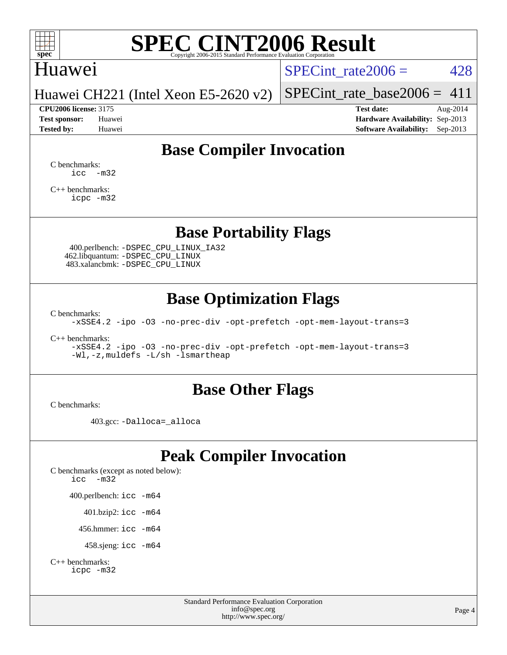

### Huawei

 $SPECTnt_rate2006 = 428$ 

Huawei CH221 (Intel Xeon E5-2620 v2)

#### **[CPU2006 license:](http://www.spec.org/auto/cpu2006/Docs/result-fields.html#CPU2006license)** 3175 **[Test date:](http://www.spec.org/auto/cpu2006/Docs/result-fields.html#Testdate)** Aug-2014

[SPECint\\_rate\\_base2006 =](http://www.spec.org/auto/cpu2006/Docs/result-fields.html#SPECintratebase2006)  $411$ 

**[Test sponsor:](http://www.spec.org/auto/cpu2006/Docs/result-fields.html#Testsponsor)** Huawei **[Hardware Availability:](http://www.spec.org/auto/cpu2006/Docs/result-fields.html#HardwareAvailability)** Sep-2013 **[Tested by:](http://www.spec.org/auto/cpu2006/Docs/result-fields.html#Testedby)** Huawei **[Software Availability:](http://www.spec.org/auto/cpu2006/Docs/result-fields.html#SoftwareAvailability)** Sep-2013

### **[Base Compiler Invocation](http://www.spec.org/auto/cpu2006/Docs/result-fields.html#BaseCompilerInvocation)**

[C benchmarks](http://www.spec.org/auto/cpu2006/Docs/result-fields.html#Cbenchmarks):  $\text{icc}$   $-\text{m32}$ 

[C++ benchmarks:](http://www.spec.org/auto/cpu2006/Docs/result-fields.html#CXXbenchmarks) [icpc -m32](http://www.spec.org/cpu2006/results/res2014q3/cpu2006-20140829-31096.flags.html#user_CXXbase_intel_icpc_4e5a5ef1a53fd332b3c49e69c3330699)

### **[Base Portability Flags](http://www.spec.org/auto/cpu2006/Docs/result-fields.html#BasePortabilityFlags)**

 400.perlbench: [-DSPEC\\_CPU\\_LINUX\\_IA32](http://www.spec.org/cpu2006/results/res2014q3/cpu2006-20140829-31096.flags.html#b400.perlbench_baseCPORTABILITY_DSPEC_CPU_LINUX_IA32) 462.libquantum: [-DSPEC\\_CPU\\_LINUX](http://www.spec.org/cpu2006/results/res2014q3/cpu2006-20140829-31096.flags.html#b462.libquantum_baseCPORTABILITY_DSPEC_CPU_LINUX) 483.xalancbmk: [-DSPEC\\_CPU\\_LINUX](http://www.spec.org/cpu2006/results/res2014q3/cpu2006-20140829-31096.flags.html#b483.xalancbmk_baseCXXPORTABILITY_DSPEC_CPU_LINUX)

### **[Base Optimization Flags](http://www.spec.org/auto/cpu2006/Docs/result-fields.html#BaseOptimizationFlags)**

[C benchmarks](http://www.spec.org/auto/cpu2006/Docs/result-fields.html#Cbenchmarks):

[-xSSE4.2](http://www.spec.org/cpu2006/results/res2014q3/cpu2006-20140829-31096.flags.html#user_CCbase_f-xSSE42_f91528193cf0b216347adb8b939d4107) [-ipo](http://www.spec.org/cpu2006/results/res2014q3/cpu2006-20140829-31096.flags.html#user_CCbase_f-ipo) [-O3](http://www.spec.org/cpu2006/results/res2014q3/cpu2006-20140829-31096.flags.html#user_CCbase_f-O3) [-no-prec-div](http://www.spec.org/cpu2006/results/res2014q3/cpu2006-20140829-31096.flags.html#user_CCbase_f-no-prec-div) [-opt-prefetch](http://www.spec.org/cpu2006/results/res2014q3/cpu2006-20140829-31096.flags.html#user_CCbase_f-opt-prefetch) [-opt-mem-layout-trans=3](http://www.spec.org/cpu2006/results/res2014q3/cpu2006-20140829-31096.flags.html#user_CCbase_f-opt-mem-layout-trans_a7b82ad4bd7abf52556d4961a2ae94d5)

[C++ benchmarks:](http://www.spec.org/auto/cpu2006/Docs/result-fields.html#CXXbenchmarks)

[-xSSE4.2](http://www.spec.org/cpu2006/results/res2014q3/cpu2006-20140829-31096.flags.html#user_CXXbase_f-xSSE42_f91528193cf0b216347adb8b939d4107) [-ipo](http://www.spec.org/cpu2006/results/res2014q3/cpu2006-20140829-31096.flags.html#user_CXXbase_f-ipo) [-O3](http://www.spec.org/cpu2006/results/res2014q3/cpu2006-20140829-31096.flags.html#user_CXXbase_f-O3) [-no-prec-div](http://www.spec.org/cpu2006/results/res2014q3/cpu2006-20140829-31096.flags.html#user_CXXbase_f-no-prec-div) [-opt-prefetch](http://www.spec.org/cpu2006/results/res2014q3/cpu2006-20140829-31096.flags.html#user_CXXbase_f-opt-prefetch) [-opt-mem-layout-trans=3](http://www.spec.org/cpu2006/results/res2014q3/cpu2006-20140829-31096.flags.html#user_CXXbase_f-opt-mem-layout-trans_a7b82ad4bd7abf52556d4961a2ae94d5) [-Wl,-z,muldefs](http://www.spec.org/cpu2006/results/res2014q3/cpu2006-20140829-31096.flags.html#user_CXXbase_link_force_multiple1_74079c344b956b9658436fd1b6dd3a8a) [-L/sh -lsmartheap](http://www.spec.org/cpu2006/results/res2014q3/cpu2006-20140829-31096.flags.html#user_CXXbase_SmartHeap_32f6c82aa1ed9c52345d30cf6e4a0499)

### **[Base Other Flags](http://www.spec.org/auto/cpu2006/Docs/result-fields.html#BaseOtherFlags)**

[C benchmarks](http://www.spec.org/auto/cpu2006/Docs/result-fields.html#Cbenchmarks):

403.gcc: [-Dalloca=\\_alloca](http://www.spec.org/cpu2006/results/res2014q3/cpu2006-20140829-31096.flags.html#b403.gcc_baseEXTRA_CFLAGS_Dalloca_be3056838c12de2578596ca5467af7f3)

## **[Peak Compiler Invocation](http://www.spec.org/auto/cpu2006/Docs/result-fields.html#PeakCompilerInvocation)**

[C benchmarks \(except as noted below\)](http://www.spec.org/auto/cpu2006/Docs/result-fields.html#Cbenchmarksexceptasnotedbelow): [icc -m32](http://www.spec.org/cpu2006/results/res2014q3/cpu2006-20140829-31096.flags.html#user_CCpeak_intel_icc_5ff4a39e364c98233615fdd38438c6f2) 400.perlbench: [icc -m64](http://www.spec.org/cpu2006/results/res2014q3/cpu2006-20140829-31096.flags.html#user_peakCCLD400_perlbench_intel_icc_64bit_bda6cc9af1fdbb0edc3795bac97ada53) 401.bzip2: [icc -m64](http://www.spec.org/cpu2006/results/res2014q3/cpu2006-20140829-31096.flags.html#user_peakCCLD401_bzip2_intel_icc_64bit_bda6cc9af1fdbb0edc3795bac97ada53)

456.hmmer: [icc -m64](http://www.spec.org/cpu2006/results/res2014q3/cpu2006-20140829-31096.flags.html#user_peakCCLD456_hmmer_intel_icc_64bit_bda6cc9af1fdbb0edc3795bac97ada53)

458.sjeng: [icc -m64](http://www.spec.org/cpu2006/results/res2014q3/cpu2006-20140829-31096.flags.html#user_peakCCLD458_sjeng_intel_icc_64bit_bda6cc9af1fdbb0edc3795bac97ada53)

```
C++ benchmarks: 
    icpc -m32
```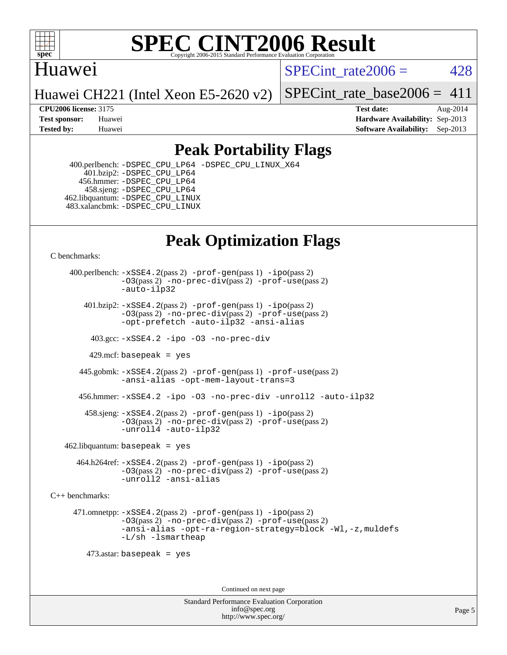

### Huawei

SPECint rate $2006 = 428$ 

Huawei CH221 (Intel Xeon E5-2620 v2)

[SPECint\\_rate\\_base2006 =](http://www.spec.org/auto/cpu2006/Docs/result-fields.html#SPECintratebase2006)  $411$ 

**[CPU2006 license:](http://www.spec.org/auto/cpu2006/Docs/result-fields.html#CPU2006license)** 3175 **[Test date:](http://www.spec.org/auto/cpu2006/Docs/result-fields.html#Testdate)** Aug-2014 **[Test sponsor:](http://www.spec.org/auto/cpu2006/Docs/result-fields.html#Testsponsor)** Huawei **[Hardware Availability:](http://www.spec.org/auto/cpu2006/Docs/result-fields.html#HardwareAvailability)** Sep-2013 **[Tested by:](http://www.spec.org/auto/cpu2006/Docs/result-fields.html#Testedby)** Huawei **[Software Availability:](http://www.spec.org/auto/cpu2006/Docs/result-fields.html#SoftwareAvailability)** Sep-2013

### **[Peak Portability Flags](http://www.spec.org/auto/cpu2006/Docs/result-fields.html#PeakPortabilityFlags)**

 400.perlbench: [-DSPEC\\_CPU\\_LP64](http://www.spec.org/cpu2006/results/res2014q3/cpu2006-20140829-31096.flags.html#b400.perlbench_peakCPORTABILITY_DSPEC_CPU_LP64) [-DSPEC\\_CPU\\_LINUX\\_X64](http://www.spec.org/cpu2006/results/res2014q3/cpu2006-20140829-31096.flags.html#b400.perlbench_peakCPORTABILITY_DSPEC_CPU_LINUX_X64) 401.bzip2: [-DSPEC\\_CPU\\_LP64](http://www.spec.org/cpu2006/results/res2014q3/cpu2006-20140829-31096.flags.html#suite_peakCPORTABILITY401_bzip2_DSPEC_CPU_LP64) 456.hmmer: [-DSPEC\\_CPU\\_LP64](http://www.spec.org/cpu2006/results/res2014q3/cpu2006-20140829-31096.flags.html#suite_peakCPORTABILITY456_hmmer_DSPEC_CPU_LP64) 458.sjeng: [-DSPEC\\_CPU\\_LP64](http://www.spec.org/cpu2006/results/res2014q3/cpu2006-20140829-31096.flags.html#suite_peakCPORTABILITY458_sjeng_DSPEC_CPU_LP64) 462.libquantum: [-DSPEC\\_CPU\\_LINUX](http://www.spec.org/cpu2006/results/res2014q3/cpu2006-20140829-31096.flags.html#b462.libquantum_peakCPORTABILITY_DSPEC_CPU_LINUX) 483.xalancbmk: [-DSPEC\\_CPU\\_LINUX](http://www.spec.org/cpu2006/results/res2014q3/cpu2006-20140829-31096.flags.html#b483.xalancbmk_peakCXXPORTABILITY_DSPEC_CPU_LINUX)

# **[Peak Optimization Flags](http://www.spec.org/auto/cpu2006/Docs/result-fields.html#PeakOptimizationFlags)**

[C benchmarks](http://www.spec.org/auto/cpu2006/Docs/result-fields.html#Cbenchmarks):

 400.perlbench: [-xSSE4.2](http://www.spec.org/cpu2006/results/res2014q3/cpu2006-20140829-31096.flags.html#user_peakPASS2_CFLAGSPASS2_LDCFLAGS400_perlbench_f-xSSE42_f91528193cf0b216347adb8b939d4107)(pass 2) [-prof-gen](http://www.spec.org/cpu2006/results/res2014q3/cpu2006-20140829-31096.flags.html#user_peakPASS1_CFLAGSPASS1_LDCFLAGS400_perlbench_prof_gen_e43856698f6ca7b7e442dfd80e94a8fc)(pass 1) [-ipo](http://www.spec.org/cpu2006/results/res2014q3/cpu2006-20140829-31096.flags.html#user_peakPASS2_CFLAGSPASS2_LDCFLAGS400_perlbench_f-ipo)(pass 2) [-O3](http://www.spec.org/cpu2006/results/res2014q3/cpu2006-20140829-31096.flags.html#user_peakPASS2_CFLAGSPASS2_LDCFLAGS400_perlbench_f-O3)(pass 2) [-no-prec-div](http://www.spec.org/cpu2006/results/res2014q3/cpu2006-20140829-31096.flags.html#user_peakPASS2_CFLAGSPASS2_LDCFLAGS400_perlbench_f-no-prec-div)(pass 2) [-prof-use](http://www.spec.org/cpu2006/results/res2014q3/cpu2006-20140829-31096.flags.html#user_peakPASS2_CFLAGSPASS2_LDCFLAGS400_perlbench_prof_use_bccf7792157ff70d64e32fe3e1250b55)(pass 2) [-auto-ilp32](http://www.spec.org/cpu2006/results/res2014q3/cpu2006-20140829-31096.flags.html#user_peakCOPTIMIZE400_perlbench_f-auto-ilp32)  $401.bzip2: -xSSE4.2(pass 2) -prof-qen(pass 1) -ipo(pass 2)$  $401.bzip2: -xSSE4.2(pass 2) -prof-qen(pass 1) -ipo(pass 2)$  $401.bzip2: -xSSE4.2(pass 2) -prof-qen(pass 1) -ipo(pass 2)$  $401.bzip2: -xSSE4.2(pass 2) -prof-qen(pass 1) -ipo(pass 2)$  $401.bzip2: -xSSE4.2(pass 2) -prof-qen(pass 1) -ipo(pass 2)$ [-O3](http://www.spec.org/cpu2006/results/res2014q3/cpu2006-20140829-31096.flags.html#user_peakPASS2_CFLAGSPASS2_LDCFLAGS401_bzip2_f-O3)(pass 2) [-no-prec-div](http://www.spec.org/cpu2006/results/res2014q3/cpu2006-20140829-31096.flags.html#user_peakPASS2_CFLAGSPASS2_LDCFLAGS401_bzip2_f-no-prec-div)(pass 2) [-prof-use](http://www.spec.org/cpu2006/results/res2014q3/cpu2006-20140829-31096.flags.html#user_peakPASS2_CFLAGSPASS2_LDCFLAGS401_bzip2_prof_use_bccf7792157ff70d64e32fe3e1250b55)(pass 2) [-opt-prefetch](http://www.spec.org/cpu2006/results/res2014q3/cpu2006-20140829-31096.flags.html#user_peakCOPTIMIZE401_bzip2_f-opt-prefetch) [-auto-ilp32](http://www.spec.org/cpu2006/results/res2014q3/cpu2006-20140829-31096.flags.html#user_peakCOPTIMIZE401_bzip2_f-auto-ilp32) [-ansi-alias](http://www.spec.org/cpu2006/results/res2014q3/cpu2006-20140829-31096.flags.html#user_peakCOPTIMIZE401_bzip2_f-ansi-alias) 403.gcc: [-xSSE4.2](http://www.spec.org/cpu2006/results/res2014q3/cpu2006-20140829-31096.flags.html#user_peakCOPTIMIZE403_gcc_f-xSSE42_f91528193cf0b216347adb8b939d4107) [-ipo](http://www.spec.org/cpu2006/results/res2014q3/cpu2006-20140829-31096.flags.html#user_peakCOPTIMIZE403_gcc_f-ipo) [-O3](http://www.spec.org/cpu2006/results/res2014q3/cpu2006-20140829-31096.flags.html#user_peakCOPTIMIZE403_gcc_f-O3) [-no-prec-div](http://www.spec.org/cpu2006/results/res2014q3/cpu2006-20140829-31096.flags.html#user_peakCOPTIMIZE403_gcc_f-no-prec-div) 429.mcf: basepeak = yes 445.gobmk: [-xSSE4.2](http://www.spec.org/cpu2006/results/res2014q3/cpu2006-20140829-31096.flags.html#user_peakPASS2_CFLAGSPASS2_LDCFLAGS445_gobmk_f-xSSE42_f91528193cf0b216347adb8b939d4107)(pass 2) [-prof-gen](http://www.spec.org/cpu2006/results/res2014q3/cpu2006-20140829-31096.flags.html#user_peakPASS1_CFLAGSPASS1_LDCFLAGS445_gobmk_prof_gen_e43856698f6ca7b7e442dfd80e94a8fc)(pass 1) [-prof-use](http://www.spec.org/cpu2006/results/res2014q3/cpu2006-20140829-31096.flags.html#user_peakPASS2_CFLAGSPASS2_LDCFLAGS445_gobmk_prof_use_bccf7792157ff70d64e32fe3e1250b55)(pass 2) [-ansi-alias](http://www.spec.org/cpu2006/results/res2014q3/cpu2006-20140829-31096.flags.html#user_peakCOPTIMIZE445_gobmk_f-ansi-alias) [-opt-mem-layout-trans=3](http://www.spec.org/cpu2006/results/res2014q3/cpu2006-20140829-31096.flags.html#user_peakCOPTIMIZE445_gobmk_f-opt-mem-layout-trans_a7b82ad4bd7abf52556d4961a2ae94d5) 456.hmmer: [-xSSE4.2](http://www.spec.org/cpu2006/results/res2014q3/cpu2006-20140829-31096.flags.html#user_peakCOPTIMIZE456_hmmer_f-xSSE42_f91528193cf0b216347adb8b939d4107) [-ipo](http://www.spec.org/cpu2006/results/res2014q3/cpu2006-20140829-31096.flags.html#user_peakCOPTIMIZE456_hmmer_f-ipo) [-O3](http://www.spec.org/cpu2006/results/res2014q3/cpu2006-20140829-31096.flags.html#user_peakCOPTIMIZE456_hmmer_f-O3) [-no-prec-div](http://www.spec.org/cpu2006/results/res2014q3/cpu2006-20140829-31096.flags.html#user_peakCOPTIMIZE456_hmmer_f-no-prec-div) [-unroll2](http://www.spec.org/cpu2006/results/res2014q3/cpu2006-20140829-31096.flags.html#user_peakCOPTIMIZE456_hmmer_f-unroll_784dae83bebfb236979b41d2422d7ec2) [-auto-ilp32](http://www.spec.org/cpu2006/results/res2014q3/cpu2006-20140829-31096.flags.html#user_peakCOPTIMIZE456_hmmer_f-auto-ilp32) 458.sjeng: [-xSSE4.2](http://www.spec.org/cpu2006/results/res2014q3/cpu2006-20140829-31096.flags.html#user_peakPASS2_CFLAGSPASS2_LDCFLAGS458_sjeng_f-xSSE42_f91528193cf0b216347adb8b939d4107)(pass 2) [-prof-gen](http://www.spec.org/cpu2006/results/res2014q3/cpu2006-20140829-31096.flags.html#user_peakPASS1_CFLAGSPASS1_LDCFLAGS458_sjeng_prof_gen_e43856698f6ca7b7e442dfd80e94a8fc)(pass 1) [-ipo](http://www.spec.org/cpu2006/results/res2014q3/cpu2006-20140829-31096.flags.html#user_peakPASS2_CFLAGSPASS2_LDCFLAGS458_sjeng_f-ipo)(pass 2) [-O3](http://www.spec.org/cpu2006/results/res2014q3/cpu2006-20140829-31096.flags.html#user_peakPASS2_CFLAGSPASS2_LDCFLAGS458_sjeng_f-O3)(pass 2) [-no-prec-div](http://www.spec.org/cpu2006/results/res2014q3/cpu2006-20140829-31096.flags.html#user_peakPASS2_CFLAGSPASS2_LDCFLAGS458_sjeng_f-no-prec-div)(pass 2) [-prof-use](http://www.spec.org/cpu2006/results/res2014q3/cpu2006-20140829-31096.flags.html#user_peakPASS2_CFLAGSPASS2_LDCFLAGS458_sjeng_prof_use_bccf7792157ff70d64e32fe3e1250b55)(pass 2) [-unroll4](http://www.spec.org/cpu2006/results/res2014q3/cpu2006-20140829-31096.flags.html#user_peakCOPTIMIZE458_sjeng_f-unroll_4e5e4ed65b7fd20bdcd365bec371b81f) [-auto-ilp32](http://www.spec.org/cpu2006/results/res2014q3/cpu2006-20140829-31096.flags.html#user_peakCOPTIMIZE458_sjeng_f-auto-ilp32)  $462$ .libquantum: basepeak = yes 464.h264ref: [-xSSE4.2](http://www.spec.org/cpu2006/results/res2014q3/cpu2006-20140829-31096.flags.html#user_peakPASS2_CFLAGSPASS2_LDCFLAGS464_h264ref_f-xSSE42_f91528193cf0b216347adb8b939d4107)(pass 2) [-prof-gen](http://www.spec.org/cpu2006/results/res2014q3/cpu2006-20140829-31096.flags.html#user_peakPASS1_CFLAGSPASS1_LDCFLAGS464_h264ref_prof_gen_e43856698f6ca7b7e442dfd80e94a8fc)(pass 1) [-ipo](http://www.spec.org/cpu2006/results/res2014q3/cpu2006-20140829-31096.flags.html#user_peakPASS2_CFLAGSPASS2_LDCFLAGS464_h264ref_f-ipo)(pass 2) [-O3](http://www.spec.org/cpu2006/results/res2014q3/cpu2006-20140829-31096.flags.html#user_peakPASS2_CFLAGSPASS2_LDCFLAGS464_h264ref_f-O3)(pass 2) [-no-prec-div](http://www.spec.org/cpu2006/results/res2014q3/cpu2006-20140829-31096.flags.html#user_peakPASS2_CFLAGSPASS2_LDCFLAGS464_h264ref_f-no-prec-div)(pass 2) [-prof-use](http://www.spec.org/cpu2006/results/res2014q3/cpu2006-20140829-31096.flags.html#user_peakPASS2_CFLAGSPASS2_LDCFLAGS464_h264ref_prof_use_bccf7792157ff70d64e32fe3e1250b55)(pass 2) [-unroll2](http://www.spec.org/cpu2006/results/res2014q3/cpu2006-20140829-31096.flags.html#user_peakCOPTIMIZE464_h264ref_f-unroll_784dae83bebfb236979b41d2422d7ec2) [-ansi-alias](http://www.spec.org/cpu2006/results/res2014q3/cpu2006-20140829-31096.flags.html#user_peakCOPTIMIZE464_h264ref_f-ansi-alias) [C++ benchmarks:](http://www.spec.org/auto/cpu2006/Docs/result-fields.html#CXXbenchmarks) 471.omnetpp: [-xSSE4.2](http://www.spec.org/cpu2006/results/res2014q3/cpu2006-20140829-31096.flags.html#user_peakPASS2_CXXFLAGSPASS2_LDCXXFLAGS471_omnetpp_f-xSSE42_f91528193cf0b216347adb8b939d4107)(pass 2) [-prof-gen](http://www.spec.org/cpu2006/results/res2014q3/cpu2006-20140829-31096.flags.html#user_peakPASS1_CXXFLAGSPASS1_LDCXXFLAGS471_omnetpp_prof_gen_e43856698f6ca7b7e442dfd80e94a8fc)(pass 1) [-ipo](http://www.spec.org/cpu2006/results/res2014q3/cpu2006-20140829-31096.flags.html#user_peakPASS2_CXXFLAGSPASS2_LDCXXFLAGS471_omnetpp_f-ipo)(pass 2) [-O3](http://www.spec.org/cpu2006/results/res2014q3/cpu2006-20140829-31096.flags.html#user_peakPASS2_CXXFLAGSPASS2_LDCXXFLAGS471_omnetpp_f-O3)(pass 2) [-no-prec-div](http://www.spec.org/cpu2006/results/res2014q3/cpu2006-20140829-31096.flags.html#user_peakPASS2_CXXFLAGSPASS2_LDCXXFLAGS471_omnetpp_f-no-prec-div)(pass 2) [-prof-use](http://www.spec.org/cpu2006/results/res2014q3/cpu2006-20140829-31096.flags.html#user_peakPASS2_CXXFLAGSPASS2_LDCXXFLAGS471_omnetpp_prof_use_bccf7792157ff70d64e32fe3e1250b55)(pass 2) [-ansi-alias](http://www.spec.org/cpu2006/results/res2014q3/cpu2006-20140829-31096.flags.html#user_peakCXXOPTIMIZE471_omnetpp_f-ansi-alias) [-opt-ra-region-strategy=block](http://www.spec.org/cpu2006/results/res2014q3/cpu2006-20140829-31096.flags.html#user_peakCXXOPTIMIZE471_omnetpp_f-opt-ra-region-strategy_a0a37c372d03933b2a18d4af463c1f69) [-Wl,-z,muldefs](http://www.spec.org/cpu2006/results/res2014q3/cpu2006-20140829-31096.flags.html#user_peakEXTRA_LDFLAGS471_omnetpp_link_force_multiple1_74079c344b956b9658436fd1b6dd3a8a) [-L/sh -lsmartheap](http://www.spec.org/cpu2006/results/res2014q3/cpu2006-20140829-31096.flags.html#user_peakEXTRA_LIBS471_omnetpp_SmartHeap_32f6c82aa1ed9c52345d30cf6e4a0499) 473.astar: basepeak = yes Continued on next page